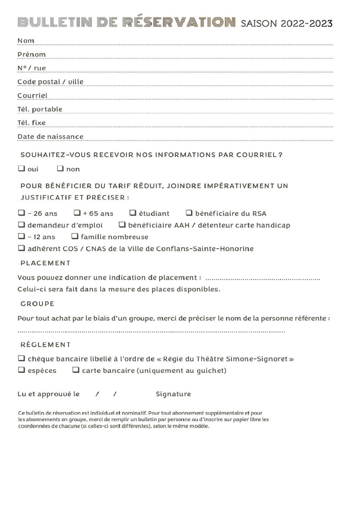## BULLETIN DE RÉSERVATION SAISON 2022-2023

| Nom                                                                                                                                                                                                                                                                                       |
|-------------------------------------------------------------------------------------------------------------------------------------------------------------------------------------------------------------------------------------------------------------------------------------------|
| Prénom                                                                                                                                                                                                                                                                                    |
| N°/rue                                                                                                                                                                                                                                                                                    |
| Code postal / ville                                                                                                                                                                                                                                                                       |
| Courriel                                                                                                                                                                                                                                                                                  |
| Tél. portable                                                                                                                                                                                                                                                                             |
| Tél. fixe                                                                                                                                                                                                                                                                                 |
| Date de naissance                                                                                                                                                                                                                                                                         |
| SOUHAITEZ-VOUS RECEVOIR NOS INFORMATIONS PAR COURRIEL?<br>$\Box$ out $\Box$ non                                                                                                                                                                                                           |
| POUR BÉNÉFICIER DU TARIF RÉDUIT, JOINDRE IMPÉRATIVEMENT UN<br><b>JUSTIFICATIF ET PRÉCISER:</b>                                                                                                                                                                                            |
| $\Box$ - 26 ans $\Box$ + 65 ans $\Box$ étudiant $\Box$ bénéficiaire du RSA<br>$\Box$ demandeur d'emploi $\Box$ bénéficiaire AAH / détenteur carte handicap<br>$\Box$ - 12 ans $\Box$ famille nombreuse<br>adhérent COS / CNAS de la Ville de Conflans-Sainte-Honorine<br><b>PLACEMENT</b> |
| Celui-ci sera fait dans la mesure des places disponibles.<br><b>GROUPE</b>                                                                                                                                                                                                                |
| Pour tout achat par le biais d'un groupe, merci de préciser le nom de la personne référente :                                                                                                                                                                                             |
| <b>RÈGLEMENT</b><br>$\Box$ chèque bancaire libellé à l'ordre de « Régie du Théâtre Simone-Signoret »<br>$\Box$ espèces<br>$\Box$ carte bancaire (uniquement au guichet)                                                                                                                   |
| Lu et approuvé le / /<br>Signature                                                                                                                                                                                                                                                        |

Ce bulletin de réservation est individuel et nominatif. Pour tout abonnement supplémentaire et pour les abonnements en groupe, merci de remplir un bulletin par personne ou d'inscrire sur papier libre les coordonnées de chacune (si celles-ci sont différentes), selon le même modèle.